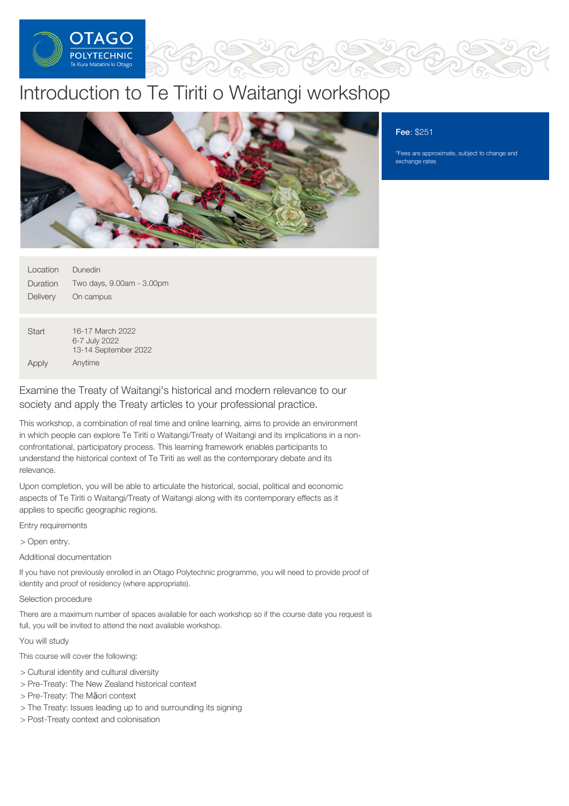

# Introduction to Te Tiriti o Waitangi workshop



## Fee: \$251

\*Fees are approximate, subject to change and exchange rates

| Location | Dunedin                   |
|----------|---------------------------|
| Duration | Two days, 9.00am - 3.00pm |
| Delivery | On campus                 |
|          |                           |

**Start** Apply 16-17 March 2022 6-7 July 2022 13-14 September 2022 Anytime

Examine the Treaty of Waitangi's historical and modern relevance to our society and apply the Treaty articles to your professional practice.

This workshop, a combination of real time and online learning, aims to provide an environment in which people can explore Te Tiriti o Waitangi/Treaty of Waitangi and its implications in a nonconfrontational, participatory process. This learning framework enables participants to understand the historical context of Te Tiriti as well as the contemporary debate and its relevance.

Upon completion, you will be able to articulate the historical, social, political and economic aspects of Te Tiriti o Waitangi/Treaty of Waitangi along with its contemporary effects as it applies to specific geographic regions.

Entry requirements

> Open entry.

Additional documentation

If you have not previously enrolled in an Otago Polytechnic programme, you will need to provide proof of identity and proof of residency (where appropriate).

Selection procedure

There are a maximum number of spaces available for each workshop so if the course date you request is full, you will be invited to attend the next available workshop.

You will study

This course will cover the following:

- > Cultural identity and cultural diversity
- > Pre-Treaty: The New Zealand historical context
- > Pre-Treaty: The Māori context
- > The Treaty: Issues leading up to and surrounding its signing
- > Post-Treaty context and colonisation